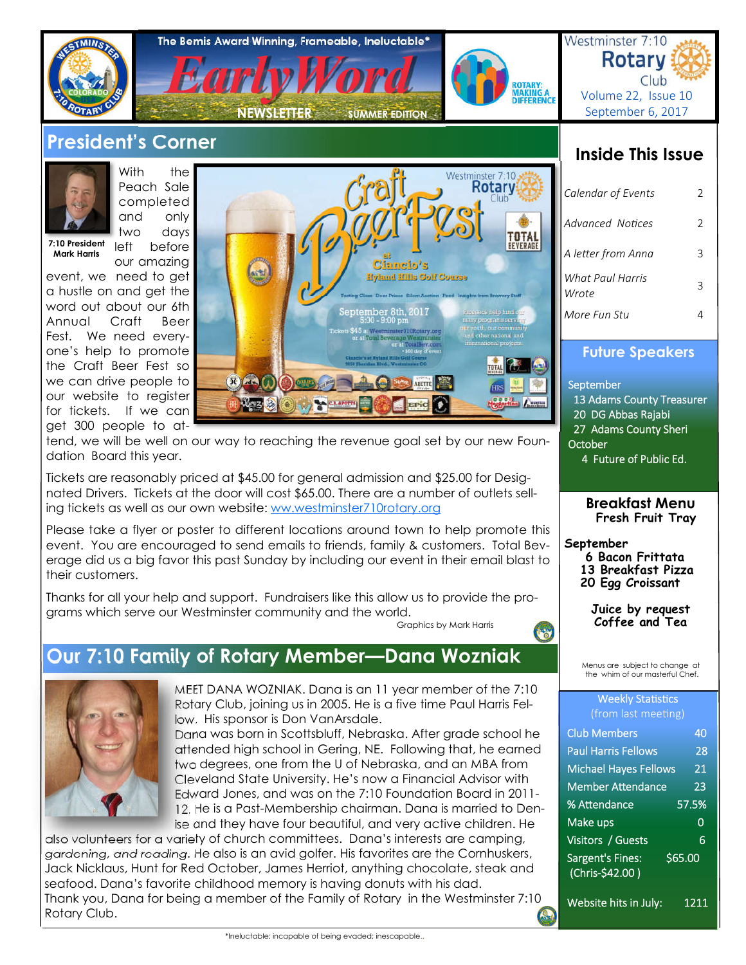

# **President's Corner**



With the Peach Sale completed and only two days left before

our amazing

**7:10 President Mark Harris** 

event, we need to get a hustle on and get the word out about our 6th Annual Craft Beer Fest. We need everyone's help to promote the Craft Beer Fest so we can drive people to our website to register for tickets. If we can get 300 people to at-



tend, we will be well on our way to reaching the revenue goal set by our new Foundation Board this year.

Tickets are reasonably priced at \$45.00 for general admission and \$25.00 for Designated Drivers. Tickets at the door will cost \$65.00. There are a number of outlets selling tickets as well as our own website: ww.westminster710rotary.org

Please take a flyer or poster to different locations around town to help promote this event. You are encouraged to send emails to friends, family & customers. Total Beverage did us a big favor this past Sunday by including our event in their email blast to their customers.

Thanks for all your help and support. Fundraisers like this allow us to provide the programs which serve our Westminster community and the world.<br>Graphics by Mark Harris

# **Our 7:10 Family of Rotary Member—Dana Wozniak**



MEET DANA WOZNIAK. Dana is an 11 year member of the 7:10 Rotary Club, joining us in 2005. He is a five time Paul Harris Fellow. His sponsor is Don VanArsdale.

Dana was born in Scottsbluff, Nebraska. After grade school he attended high school in Gering, NE. Following that, he earned two degrees, one from the U of Nebraska, and an MBA from Cleveland State University. He's now a Financial Advisor with Edward Jones, and was on the 7:10 Foundation Board in 2011- 12. He is a Past-Membership chairman. Dana is married to Denise and they have four beautiful, and very active children. He

also volunteers for a variety of church committees. Dana's interests are camping, gardening, and reading. He also is an avid golfer. His favorites are the Cornhuskers, Jack Nicklaus, Hunt for Red October, James Herriot, anything chocolate, steak and seafood. Dana's favorite childhood memory is having donuts with his dad. Thank you, Dana for being a member of the Family of Rotary in the Westminster 7:10 Rotary Club.

# **Inside This Issue**

| Calendar of Events        | $\mathcal{L}$ |
|---------------------------|---------------|
| Advanced Notices          | 2             |
| A letter from Anna        | ς             |
| What Paul Harris<br>Wrote |               |
| More Fun Stu              |               |

### **Future Speakers**

**September**  13 Adams County Treasurer 20 DG Abbas Rajabi 27 Adams County Sheri **October** 4 Future of Public Ed.

> **Breakfast Menu Fresh Fruit Tray**

**September**

Œ

- **6 Bacon Frittata**
- **13 Breakfast Pizza 20 Egg Croissant**
- 

**Juice by request Coffee and Tea** 

Menus are subject to change at the whim of our masterful Chef.

#### **Weekly Statistics** (from last meeting)

| <b>Club Members</b>                              | 40      |
|--------------------------------------------------|---------|
| <b>Paul Harris Fellows</b>                       | 28      |
| <b>Michael Hayes Fellows</b>                     | 21      |
| Member Attendance                                | 23      |
| % Attendance                                     | 57.5%   |
| Make ups                                         | 0       |
| Visitors / Guests                                | 6       |
| Sargent's Fines:<br>(Chris- $\frac{2}{5}$ 42.00) | \$65.00 |
|                                                  |         |

Website hits in July: 1211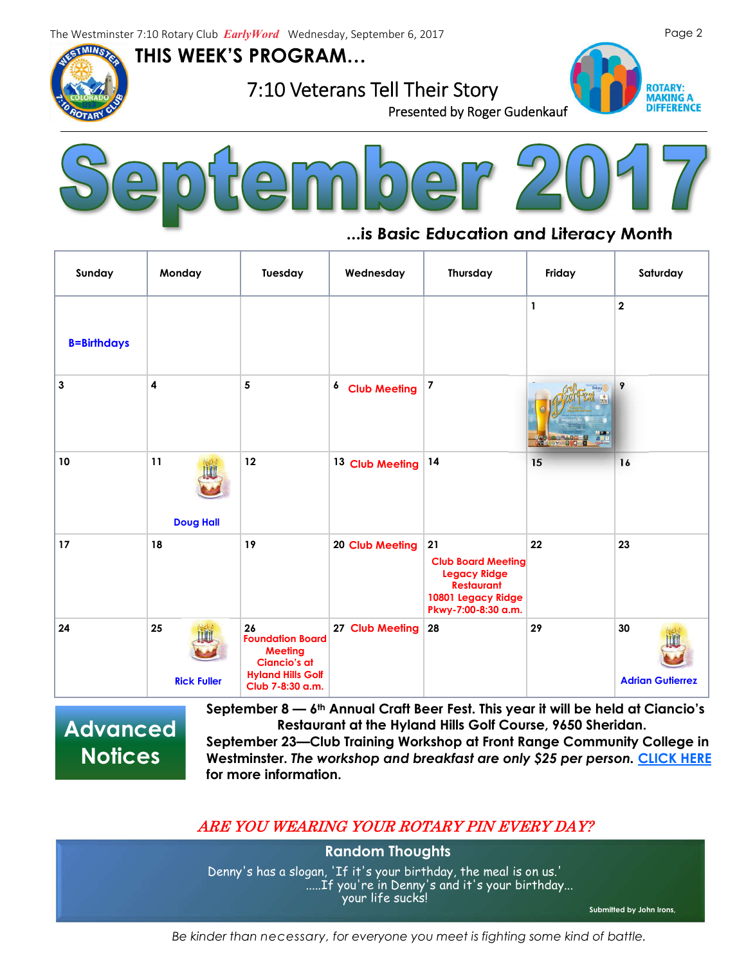The Westminster 7:10 Rotary Club *EarlyWord* Wednesday, September 6, 2017

**THIS WEEK'S PROGRAM…**



**7:10 Veterans Tell Their Story**<br>Presented by Roger Gudenkauf





# **...is Basic Education and Literacy Month**

| Sunday             | Monday                   | Tuesday                                                                                                                | Wednesday                 | Thursday                                                                                                                 | Friday       | Saturday                      |
|--------------------|--------------------------|------------------------------------------------------------------------------------------------------------------------|---------------------------|--------------------------------------------------------------------------------------------------------------------------|--------------|-------------------------------|
| <b>B=Birthdays</b> |                          |                                                                                                                        |                           |                                                                                                                          | $\mathbf{1}$ | $\overline{\mathbf{2}}$       |
| 3                  | 4                        | 5                                                                                                                      | <sup>6</sup> Club Meeting | $\overline{\mathbf{z}}$                                                                                                  | $v = 5/2$    | 9                             |
| 10                 | 11<br><b>Doug Hall</b>   | 12                                                                                                                     | 13 Club Meeting           | 14                                                                                                                       | 15           | 16                            |
| 17                 | 18                       | 19                                                                                                                     | 20 Club Meeting           | 21<br><b>Club Board Meeting</b><br><b>Legacy Ridge</b><br><b>Restaurant</b><br>10801 Legacy Ridge<br>Pkwy-7:00-8:30 a.m. | 22           | 23                            |
| 24                 | 25<br><b>Rick Fuller</b> | 26<br><b>Foundation Board</b><br><b>Meeting</b><br><b>Ciancio's at</b><br><b>Hyland Hills Golf</b><br>Club 7-8:30 a.m. | 27 Club Meeting           | 28                                                                                                                       | 29           | 30<br><b>Adrian Gutierrez</b> |

**Advanced Notices**

**September 8 — 6th Annual Craft Beer Fest. This year it will be held at Ciancio's Restaurant at the Hyland Hills Golf Course, 9650 Sheridan.**

**September 23—Club Training Workshop at Front Range Community College in Westminster.** *The workshop and breakfast are only \$25 per person.* **CLICK HERE for more information.**

## ARE YOU WEARING YOUR ROTARY PIN EVERY DAY?

**Random Thoughts** Denny's has a slogan, 'If it's your birthday, the meal is on us.' .....If you're in Denny's and it's your birthday... your life sucks!

**Submitted by John Irons,** 

*Be kinder than necessary, for everyone you meet is fighting some kind of battle.*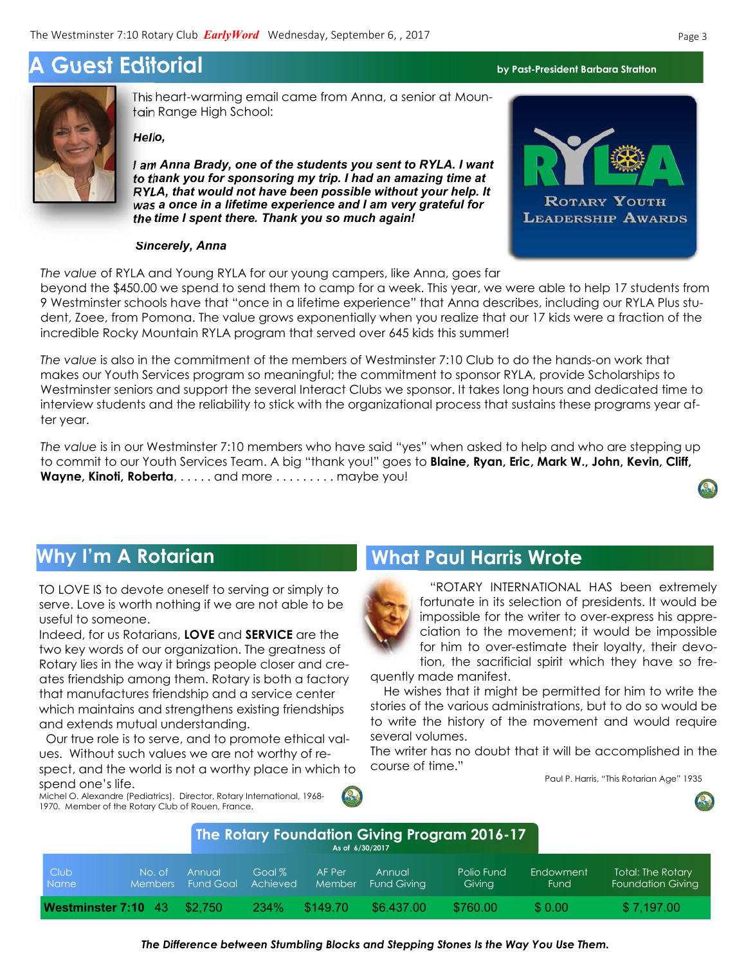# **A Guest Editorial by Past-President Barbara Stratton**



This heart-warming email came from Anna, a senior at Mountain Range High School:

*Hello,*

*I am Anna Brady, one of the students you sent to RYLA. I want to thank you for sponsoring my trip. I had an amazing time at RYLA, that would not have been possible without your help. It was a once in a lifetime experience and I am very grateful for the time I spent there. Thank you so much again!*

#### *Sincerely, Anna*

*The value* of RYLA and Young RYLA for our young campers, like Anna, goes far

beyond the \$450.00 we spend to send them to camp for a week. This year, we were able to help 17 students from 9 Westminster schools have that "once in a lifetime experience" that Anna describes, including our RYLA Plus student, Zoee, from Pomona. The value grows exponentially when you realize that our 17 kids were a fraction of the incredible Rocky Mountain RYLA program that served over 645 kids this summer!

Soon to be pro: makes our Youth Services program so meaningful; the commitment to sponsor RYLA, provide Scholarships to *The value* is also in the commitment of the members of Westminster 7:10 Club to do the hands-on work that Westminster seniors and support the several Interact Clubs we sponsor. It takes long hours and dedicated time to interview students and the reliability to stick with the organizational process that sustains these programs year after year.

*The value* is in our Westminster 7:10 members who have said "yes" when asked to help and who are stepping up to commit to our Youth Services Team. A big "thank you!" goes to **Blaine, Ryan, Eric, Mark W., John, Kevin, Cliff, Wayne, Kinoti, Roberta**, . . . . . and more . . . . . . . . . maybe you!

TO LOVE IS to devote oneself to serving or simply to serve. Love is worth nothing if we are not able to be useful to someone.

Indeed, for us Rotarians, **LOVE** and **SERVICE** are the two key words of our organization. The greatness of Rotary lies in the way it brings people closer and creates friendship among them. Rotary is both a factory that manufactures friendship and a service center which maintains and strengthens existing friendships and extends mutual understanding.

Our true role is to serve, and to promote ethical values. Without such values we are not worthy of respect, and the world is not a worthy place in which to spend one's life.

Michel O. Alexandre (Pediatrics). Director, Rotary International, 1968- 1970. Member of the Rotary Club of Rouen, France.

# **Why I'm A Rotarian What Paul Harris Wrote**



 "ROTARY INTERNATIONAL HAS been extremely fortunate in its selection of presidents. It would be impossible for the writer to over-express his appreciation to the movement; it would be impossible for him to over-estimate their loyalty, their devotion, the sacrificial spirit which they have so fre-

quently made manifest.

 He wishes that it might be permitted for him to write the stories of the various administrations, but to do so would be to write the history of the movement and would require several volumes.

The writer has no doubt that it will be accomplished in the course of time."

Paul P. Harris, "This Rotarian Age" 1935



| The Rotary Foundation Giving Program 2016-17<br>As of 6/30/2017 |                          |                            |                    |                  |                       |                      |                          |                                                      |
|-----------------------------------------------------------------|--------------------------|----------------------------|--------------------|------------------|-----------------------|----------------------|--------------------------|------------------------------------------------------|
| <b>Club</b><br>Name                                             | No. of<br><b>Members</b> | Annual<br><b>Fund Goal</b> | Goal %<br>Achieved | AF Per<br>Member | Annual<br>Fund Givina | Polio Fund<br>Giving | Endowment<br><b>Fund</b> | <b>Total: The Rotary</b><br><b>Foundation Giving</b> |
| Westminster 7:10 43                                             |                          | \$2.750                    | <b>234%</b>        | \$149.70         | \$6.437.00            | \$760.00             | \$0.00                   | \$7,197.00                                           |



#### *The Difference between Stumbling Blocks and Stepping Stones Is the Way You Use Them.*